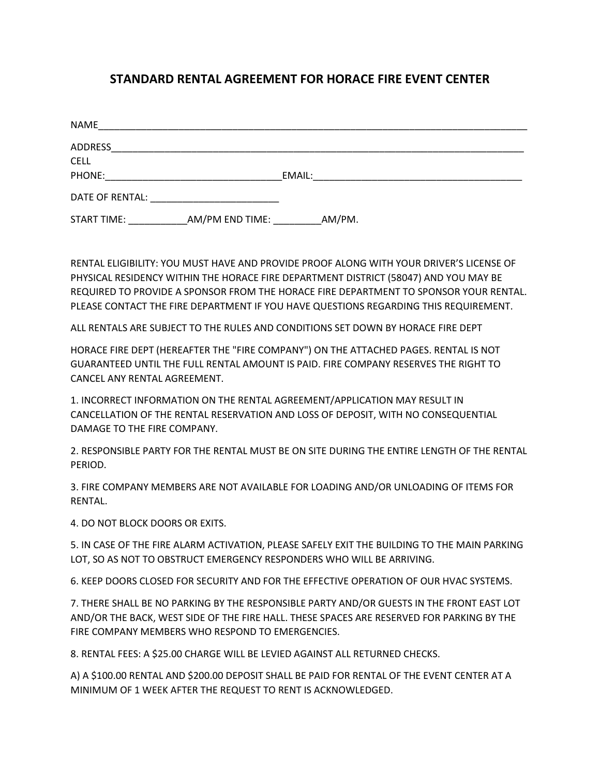## **STANDARD RENTAL AGREEMENT FOR HORACE FIRE EVENT CENTER**

| <b>NAME</b>        |                 |        |        |                                                                                           |  |  |
|--------------------|-----------------|--------|--------|-------------------------------------------------------------------------------------------|--|--|
| <b>ADDRESS</b>     |                 |        |        |                                                                                           |  |  |
| <b>CELL</b>        |                 |        |        |                                                                                           |  |  |
| PHONE:             |                 | EMAIL: |        | the control of the control of the control of the control of the control of the control of |  |  |
| DATE OF RENTAL:    |                 |        |        |                                                                                           |  |  |
| <b>START TIME:</b> | AM/PM END TIME: |        | AM/PM. |                                                                                           |  |  |

RENTAL ELIGIBILITY: YOU MUST HAVE AND PROVIDE PROOF ALONG WITH YOUR DRIVER'S LICENSE OF PHYSICAL RESIDENCY WITHIN THE HORACE FIRE DEPARTMENT DISTRICT (58047) AND YOU MAY BE REQUIRED TO PROVIDE A SPONSOR FROM THE HORACE FIRE DEPARTMENT TO SPONSOR YOUR RENTAL. PLEASE CONTACT THE FIRE DEPARTMENT IF YOU HAVE QUESTIONS REGARDING THIS REQUIREMENT.

ALL RENTALS ARE SUBJECT TO THE RULES AND CONDITIONS SET DOWN BY HORACE FIRE DEPT

HORACE FIRE DEPT (HEREAFTER THE "FIRE COMPANY") ON THE ATTACHED PAGES. RENTAL IS NOT GUARANTEED UNTIL THE FULL RENTAL AMOUNT IS PAID. FIRE COMPANY RESERVES THE RIGHT TO CANCEL ANY RENTAL AGREEMENT.

1. INCORRECT INFORMATION ON THE RENTAL AGREEMENT/APPLICATION MAY RESULT IN CANCELLATION OF THE RENTAL RESERVATION AND LOSS OF DEPOSIT, WITH NO CONSEQUENTIAL DAMAGE TO THE FIRE COMPANY.

2. RESPONSIBLE PARTY FOR THE RENTAL MUST BE ON SITE DURING THE ENTIRE LENGTH OF THE RENTAL PERIOD.

3. FIRE COMPANY MEMBERS ARE NOT AVAILABLE FOR LOADING AND/OR UNLOADING OF ITEMS FOR RENTAL.

4. DO NOT BLOCK DOORS OR EXITS.

5. IN CASE OF THE FIRE ALARM ACTIVATION, PLEASE SAFELY EXIT THE BUILDING TO THE MAIN PARKING LOT, SO AS NOT TO OBSTRUCT EMERGENCY RESPONDERS WHO WILL BE ARRIVING.

6. KEEP DOORS CLOSED FOR SECURITY AND FOR THE EFFECTIVE OPERATION OF OUR HVAC SYSTEMS.

7. THERE SHALL BE NO PARKING BY THE RESPONSIBLE PARTY AND/OR GUESTS IN THE FRONT EAST LOT AND/OR THE BACK, WEST SIDE OF THE FIRE HALL. THESE SPACES ARE RESERVED FOR PARKING BY THE FIRE COMPANY MEMBERS WHO RESPOND TO EMERGENCIES.

8. RENTAL FEES: A \$25.00 CHARGE WILL BE LEVIED AGAINST ALL RETURNED CHECKS.

A) A \$100.00 RENTAL AND \$200.00 DEPOSIT SHALL BE PAID FOR RENTAL OF THE EVENT CENTER AT A MINIMUM OF 1 WEEK AFTER THE REQUEST TO RENT IS ACKNOWLEDGED.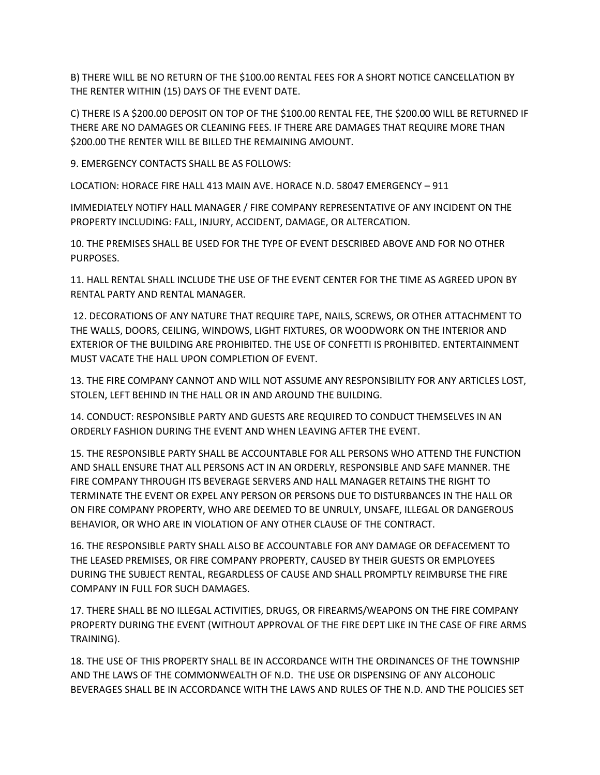B) THERE WILL BE NO RETURN OF THE \$100.00 RENTAL FEES FOR A SHORT NOTICE CANCELLATION BY THE RENTER WITHIN (15) DAYS OF THE EVENT DATE.

C) THERE IS A \$200.00 DEPOSIT ON TOP OF THE \$100.00 RENTAL FEE, THE \$200.00 WILL BE RETURNED IF THERE ARE NO DAMAGES OR CLEANING FEES. IF THERE ARE DAMAGES THAT REQUIRE MORE THAN \$200.00 THE RENTER WILL BE BILLED THE REMAINING AMOUNT.

9. EMERGENCY CONTACTS SHALL BE AS FOLLOWS:

LOCATION: HORACE FIRE HALL 413 MAIN AVE. HORACE N.D. 58047 EMERGENCY – 911

IMMEDIATELY NOTIFY HALL MANAGER / FIRE COMPANY REPRESENTATIVE OF ANY INCIDENT ON THE PROPERTY INCLUDING: FALL, INJURY, ACCIDENT, DAMAGE, OR ALTERCATION.

10. THE PREMISES SHALL BE USED FOR THE TYPE OF EVENT DESCRIBED ABOVE AND FOR NO OTHER PURPOSES.

11. HALL RENTAL SHALL INCLUDE THE USE OF THE EVENT CENTER FOR THE TIME AS AGREED UPON BY RENTAL PARTY AND RENTAL MANAGER.

12. DECORATIONS OF ANY NATURE THAT REQUIRE TAPE, NAILS, SCREWS, OR OTHER ATTACHMENT TO THE WALLS, DOORS, CEILING, WINDOWS, LIGHT FIXTURES, OR WOODWORK ON THE INTERIOR AND EXTERIOR OF THE BUILDING ARE PROHIBITED. THE USE OF CONFETTI IS PROHIBITED. ENTERTAINMENT MUST VACATE THE HALL UPON COMPLETION OF EVENT.

13. THE FIRE COMPANY CANNOT AND WILL NOT ASSUME ANY RESPONSIBILITY FOR ANY ARTICLES LOST, STOLEN, LEFT BEHIND IN THE HALL OR IN AND AROUND THE BUILDING.

14. CONDUCT: RESPONSIBLE PARTY AND GUESTS ARE REQUIRED TO CONDUCT THEMSELVES IN AN ORDERLY FASHION DURING THE EVENT AND WHEN LEAVING AFTER THE EVENT.

15. THE RESPONSIBLE PARTY SHALL BE ACCOUNTABLE FOR ALL PERSONS WHO ATTEND THE FUNCTION AND SHALL ENSURE THAT ALL PERSONS ACT IN AN ORDERLY, RESPONSIBLE AND SAFE MANNER. THE FIRE COMPANY THROUGH ITS BEVERAGE SERVERS AND HALL MANAGER RETAINS THE RIGHT TO TERMINATE THE EVENT OR EXPEL ANY PERSON OR PERSONS DUE TO DISTURBANCES IN THE HALL OR ON FIRE COMPANY PROPERTY, WHO ARE DEEMED TO BE UNRULY, UNSAFE, ILLEGAL OR DANGEROUS BEHAVIOR, OR WHO ARE IN VIOLATION OF ANY OTHER CLAUSE OF THE CONTRACT.

16. THE RESPONSIBLE PARTY SHALL ALSO BE ACCOUNTABLE FOR ANY DAMAGE OR DEFACEMENT TO THE LEASED PREMISES, OR FIRE COMPANY PROPERTY, CAUSED BY THEIR GUESTS OR EMPLOYEES DURING THE SUBJECT RENTAL, REGARDLESS OF CAUSE AND SHALL PROMPTLY REIMBURSE THE FIRE COMPANY IN FULL FOR SUCH DAMAGES.

17. THERE SHALL BE NO ILLEGAL ACTIVITIES, DRUGS, OR FIREARMS/WEAPONS ON THE FIRE COMPANY PROPERTY DURING THE EVENT (WITHOUT APPROVAL OF THE FIRE DEPT LIKE IN THE CASE OF FIRE ARMS TRAINING).

18. THE USE OF THIS PROPERTY SHALL BE IN ACCORDANCE WITH THE ORDINANCES OF THE TOWNSHIP AND THE LAWS OF THE COMMONWEALTH OF N.D. THE USE OR DISPENSING OF ANY ALCOHOLIC BEVERAGES SHALL BE IN ACCORDANCE WITH THE LAWS AND RULES OF THE N.D. AND THE POLICIES SET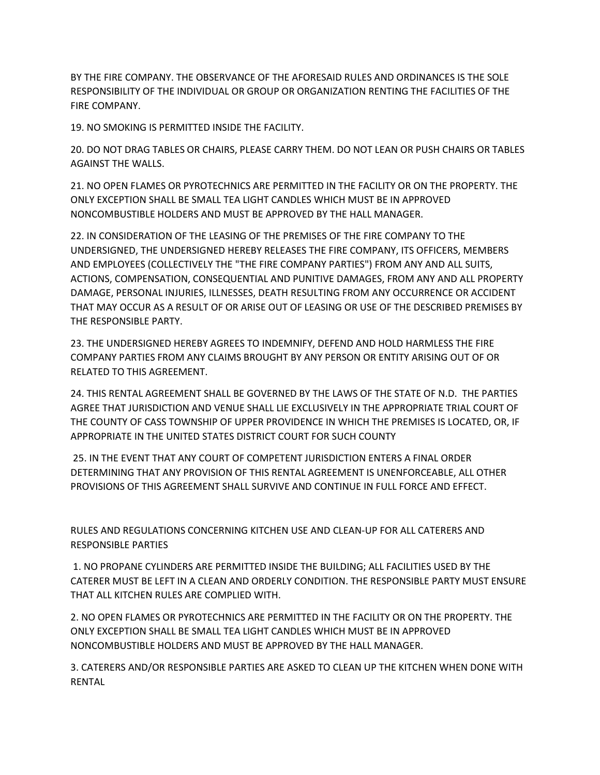BY THE FIRE COMPANY. THE OBSERVANCE OF THE AFORESAID RULES AND ORDINANCES IS THE SOLE RESPONSIBILITY OF THE INDIVIDUAL OR GROUP OR ORGANIZATION RENTING THE FACILITIES OF THE FIRE COMPANY.

19. NO SMOKING IS PERMITTED INSIDE THE FACILITY.

20. DO NOT DRAG TABLES OR CHAIRS, PLEASE CARRY THEM. DO NOT LEAN OR PUSH CHAIRS OR TABLES AGAINST THE WALLS.

21. NO OPEN FLAMES OR PYROTECHNICS ARE PERMITTED IN THE FACILITY OR ON THE PROPERTY. THE ONLY EXCEPTION SHALL BE SMALL TEA LIGHT CANDLES WHICH MUST BE IN APPROVED NONCOMBUSTIBLE HOLDERS AND MUST BE APPROVED BY THE HALL MANAGER.

22. IN CONSIDERATION OF THE LEASING OF THE PREMISES OF THE FIRE COMPANY TO THE UNDERSIGNED, THE UNDERSIGNED HEREBY RELEASES THE FIRE COMPANY, ITS OFFICERS, MEMBERS AND EMPLOYEES (COLLECTIVELY THE "THE FIRE COMPANY PARTIES") FROM ANY AND ALL SUITS, ACTIONS, COMPENSATION, CONSEQUENTIAL AND PUNITIVE DAMAGES, FROM ANY AND ALL PROPERTY DAMAGE, PERSONAL INJURIES, ILLNESSES, DEATH RESULTING FROM ANY OCCURRENCE OR ACCIDENT THAT MAY OCCUR AS A RESULT OF OR ARISE OUT OF LEASING OR USE OF THE DESCRIBED PREMISES BY THE RESPONSIBLE PARTY.

23. THE UNDERSIGNED HEREBY AGREES TO INDEMNIFY, DEFEND AND HOLD HARMLESS THE FIRE COMPANY PARTIES FROM ANY CLAIMS BROUGHT BY ANY PERSON OR ENTITY ARISING OUT OF OR RELATED TO THIS AGREEMENT.

24. THIS RENTAL AGREEMENT SHALL BE GOVERNED BY THE LAWS OF THE STATE OF N.D. THE PARTIES AGREE THAT JURISDICTION AND VENUE SHALL LIE EXCLUSIVELY IN THE APPROPRIATE TRIAL COURT OF THE COUNTY OF CASS TOWNSHIP OF UPPER PROVIDENCE IN WHICH THE PREMISES IS LOCATED, OR, IF APPROPRIATE IN THE UNITED STATES DISTRICT COURT FOR SUCH COUNTY

25. IN THE EVENT THAT ANY COURT OF COMPETENT JURISDICTION ENTERS A FINAL ORDER DETERMINING THAT ANY PROVISION OF THIS RENTAL AGREEMENT IS UNENFORCEABLE, ALL OTHER PROVISIONS OF THIS AGREEMENT SHALL SURVIVE AND CONTINUE IN FULL FORCE AND EFFECT.

RULES AND REGULATIONS CONCERNING KITCHEN USE AND CLEAN-UP FOR ALL CATERERS AND RESPONSIBLE PARTIES

1. NO PROPANE CYLINDERS ARE PERMITTED INSIDE THE BUILDING; ALL FACILITIES USED BY THE CATERER MUST BE LEFT IN A CLEAN AND ORDERLY CONDITION. THE RESPONSIBLE PARTY MUST ENSURE THAT ALL KITCHEN RULES ARE COMPLIED WITH.

2. NO OPEN FLAMES OR PYROTECHNICS ARE PERMITTED IN THE FACILITY OR ON THE PROPERTY. THE ONLY EXCEPTION SHALL BE SMALL TEA LIGHT CANDLES WHICH MUST BE IN APPROVED NONCOMBUSTIBLE HOLDERS AND MUST BE APPROVED BY THE HALL MANAGER.

3. CATERERS AND/OR RESPONSIBLE PARTIES ARE ASKED TO CLEAN UP THE KITCHEN WHEN DONE WITH RENTAL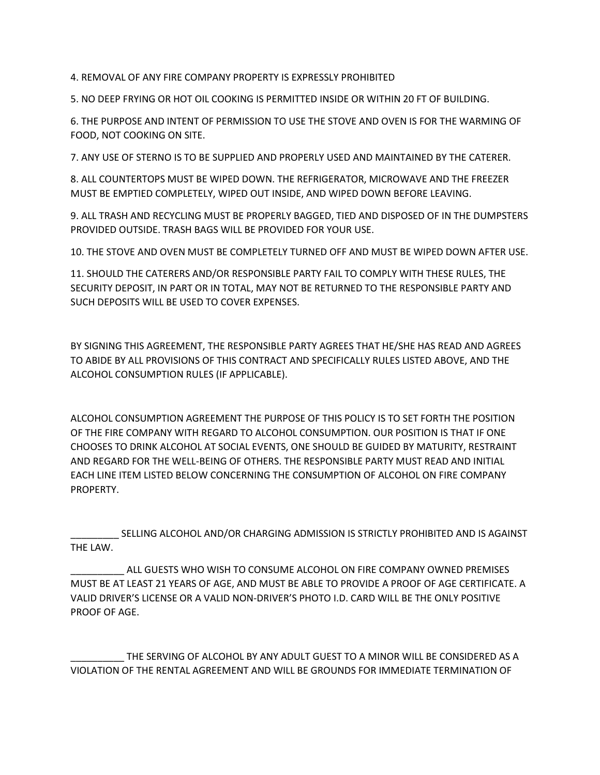4. REMOVAL OF ANY FIRE COMPANY PROPERTY IS EXPRESSLY PROHIBITED

5. NO DEEP FRYING OR HOT OIL COOKING IS PERMITTED INSIDE OR WITHIN 20 FT OF BUILDING.

6. THE PURPOSE AND INTENT OF PERMISSION TO USE THE STOVE AND OVEN IS FOR THE WARMING OF FOOD, NOT COOKING ON SITE.

7. ANY USE OF STERNO IS TO BE SUPPLIED AND PROPERLY USED AND MAINTAINED BY THE CATERER.

8. ALL COUNTERTOPS MUST BE WIPED DOWN. THE REFRIGERATOR, MICROWAVE AND THE FREEZER MUST BE EMPTIED COMPLETELY, WIPED OUT INSIDE, AND WIPED DOWN BEFORE LEAVING.

9. ALL TRASH AND RECYCLING MUST BE PROPERLY BAGGED, TIED AND DISPOSED OF IN THE DUMPSTERS PROVIDED OUTSIDE. TRASH BAGS WILL BE PROVIDED FOR YOUR USE.

10. THE STOVE AND OVEN MUST BE COMPLETELY TURNED OFF AND MUST BE WIPED DOWN AFTER USE.

11. SHOULD THE CATERERS AND/OR RESPONSIBLE PARTY FAIL TO COMPLY WITH THESE RULES, THE SECURITY DEPOSIT, IN PART OR IN TOTAL, MAY NOT BE RETURNED TO THE RESPONSIBLE PARTY AND SUCH DEPOSITS WILL BE USED TO COVER EXPENSES.

BY SIGNING THIS AGREEMENT, THE RESPONSIBLE PARTY AGREES THAT HE/SHE HAS READ AND AGREES TO ABIDE BY ALL PROVISIONS OF THIS CONTRACT AND SPECIFICALLY RULES LISTED ABOVE, AND THE ALCOHOL CONSUMPTION RULES (IF APPLICABLE).

ALCOHOL CONSUMPTION AGREEMENT THE PURPOSE OF THIS POLICY IS TO SET FORTH THE POSITION OF THE FIRE COMPANY WITH REGARD TO ALCOHOL CONSUMPTION. OUR POSITION IS THAT IF ONE CHOOSES TO DRINK ALCOHOL AT SOCIAL EVENTS, ONE SHOULD BE GUIDED BY MATURITY, RESTRAINT AND REGARD FOR THE WELL-BEING OF OTHERS. THE RESPONSIBLE PARTY MUST READ AND INITIAL EACH LINE ITEM LISTED BELOW CONCERNING THE CONSUMPTION OF ALCOHOL ON FIRE COMPANY PROPERTY.

\_\_\_\_\_\_\_\_\_ SELLING ALCOHOL AND/OR CHARGING ADMISSION IS STRICTLY PROHIBITED AND IS AGAINST THE LAW.

\_\_\_\_\_\_\_\_\_\_ ALL GUESTS WHO WISH TO CONSUME ALCOHOL ON FIRE COMPANY OWNED PREMISES MUST BE AT LEAST 21 YEARS OF AGE, AND MUST BE ABLE TO PROVIDE A PROOF OF AGE CERTIFICATE. A VALID DRIVER'S LICENSE OR A VALID NON-DRIVER'S PHOTO I.D. CARD WILL BE THE ONLY POSITIVE PROOF OF AGE.

THE SERVING OF ALCOHOL BY ANY ADULT GUEST TO A MINOR WILL BE CONSIDERED AS A VIOLATION OF THE RENTAL AGREEMENT AND WILL BE GROUNDS FOR IMMEDIATE TERMINATION OF